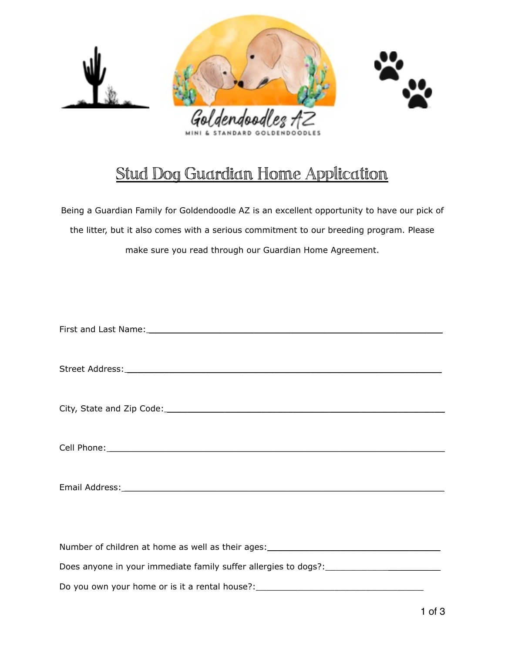

## Stud Dog Guardian Home Application

Being a Guardian Family for Goldendoodle AZ is an excellent opportunity to have our pick of the litter, but it also comes with a serious commitment to our breeding program. Please make sure you read through our Guardian Home Agreement.

| Number of children at home as well as their ages: ______________________________  |
|-----------------------------------------------------------------------------------|
| Does anyone in your immediate family suffer allergies to dogs?: _________________ |
| Do you own your home or is it a rental house?:                                    |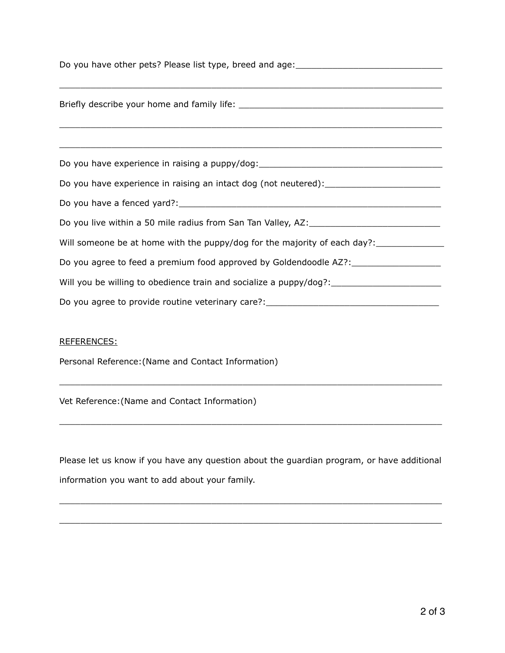| Do you have other pets? Please list type, breed and age: ________________________                                              |
|--------------------------------------------------------------------------------------------------------------------------------|
|                                                                                                                                |
|                                                                                                                                |
| Do you have experience in raising a puppy/dog:__________________________________                                               |
| Do you have experience in raising an intact dog (not neutered):__________________                                              |
|                                                                                                                                |
| Do you live within a 50 mile radius from San Tan Valley, AZ: [11] Do you live within a 50 mile radius from San Tan Valley, AZ: |
| Will someone be at home with the puppy/dog for the majority of each day?: _____________                                        |
| Do you agree to feed a premium food approved by Goldendoodle AZ?:_______________                                               |
| Will you be willing to obedience train and socialize a puppy/dog?: _________________________________                           |
| Do you agree to provide routine veterinary care?: ______________________________                                               |

## REFERENCES:

Personal Reference:(Name and Contact Information)

Vet Reference:(Name and Contact Information)

Please let us know if you have any question about the guardian program, or have additional information you want to add about your family.

 $\mathcal{L}_\mathcal{L}$  , and the state of the state of the state of the state of the state of the state of the state of the state of

 $\_$  , and the state of the state of the state of the state of the state of the state of the state of the state of the state of the state of the state of the state of the state of the state of the state of the state of the

 $\_$  , and the state of the state of the state of the state of the state of the state of the state of the state of the state of the state of the state of the state of the state of the state of the state of the state of the

 $\_$  , and the state of the state of the state of the state of the state of the state of the state of the state of the state of the state of the state of the state of the state of the state of the state of the state of the